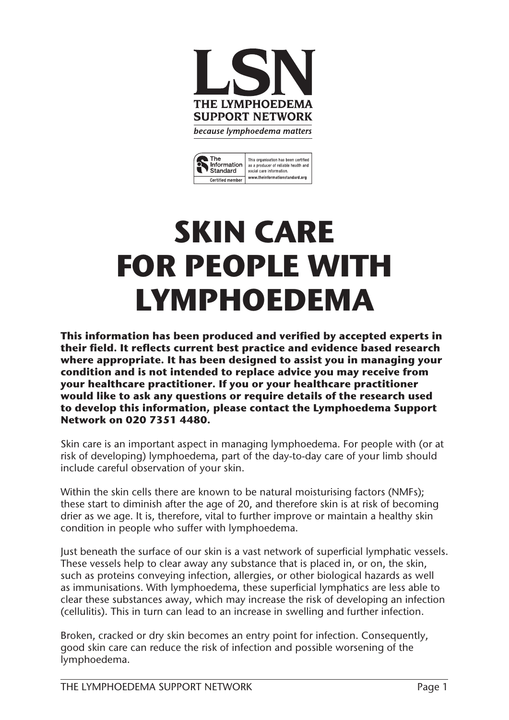



# **SKIN CARE FOR PEOPLE WITH LYMPHOEDEMA**

**This information has been produced and verified by accepted experts in their field. It reflects current best practice and evidence based research where appropriate. It has been designed to assist you in managing your condition and is not intended to replace advice you may receive from your healthcare practitioner. If you or your healthcare practitioner would like to ask any questions or require details of the research used to develop this information, please contact the Lymphoedema Support Network on 020 7351 4480.**

Skin care is an important aspect in managing lymphoedema. For people with (or at risk of developing) lymphoedema, part of the day-to-day care of your limb should include careful observation of your skin.

Within the skin cells there are known to be natural moisturising factors (NMFs); these start to diminish after the age of 20, and therefore skin is at risk of becoming drier as we age. It is, therefore, vital to further improve or maintain a healthy skin condition in people who suffer with lymphoedema.

Just beneath the surface of our skin is a vast network of superficial lymphatic vessels. These vessels help to clear away any substance that is placed in, or on, the skin, such as proteins conveying infection, allergies, or other biological hazards as well as immunisations. With lymphoedema, these superficial lymphatics are less able to clear these substances away, which may increase the risk of developing an infection (cellulitis). This in turn can lead to an increase in swelling and further infection.

Broken, cracked or dry skin becomes an entry point for infection. Consequently, good skin care can reduce the risk of infection and possible worsening of the lymphoedema.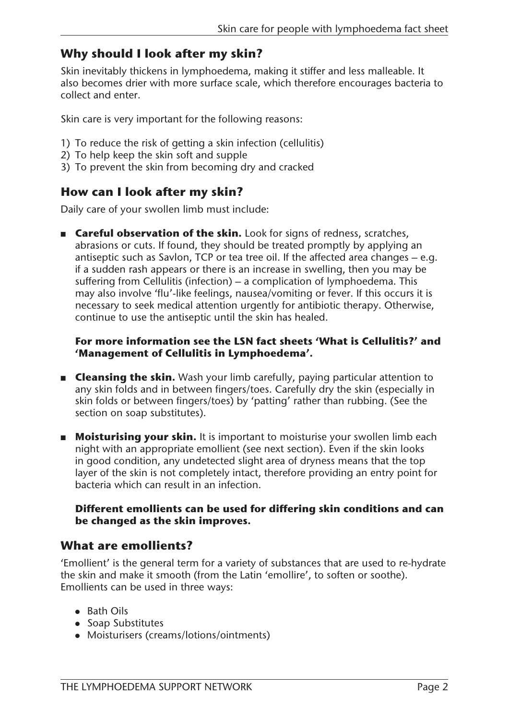# **Why should I look after my skin?**

Skin inevitably thickens in lymphoedema, making it stiffer and less malleable. It also becomes drier with more surface scale, which therefore encourages bacteria to collect and enter.

Skin care is very important for the following reasons:

- 1) To reduce the risk of getting a skin infection (cellulitis)
- 2) To help keep the skin soft and supple
- 3) To prevent the skin from becoming dry and cracked

# **How can I look after my skin?**

Daily care of your swollen limb must include:

**n Careful observation of the skin.** Look for signs of redness, scratches, abrasions or cuts. If found, they should be treated promptly by applying an antiseptic such as Savlon, TCP or tea tree oil. If the affected area changes – e.g. if a sudden rash appears or there is an increase in swelling, then you may be suffering from Cellulitis (infection) – a complication of lymphoedema. This may also involve 'flu'-like feelings, nausea/vomiting or fever. If this occurs it is necessary to seek medical attention urgently for antibiotic therapy. Otherwise, continue to use the antiseptic until the skin has healed.

#### **For more information see the LSN fact sheets 'What is Cellulitis?' and 'Management of Cellulitis in Lymphoedema'.**

- **Example 2 Set Shipselli Example 2 Set Shipselly Cleansing the skin.** Wash your limb carefully, paying particular attention to any skin folds and in between fingers/toes. Carefully dry the skin (especially in skin folds or between fingers/toes) by 'patting' rather than rubbing. (See the section on soap substitutes).
- **n** Moisturising your skin. It is important to moisturise your swollen limb each night with an appropriate emollient (see next section). Even if the skin looks in good condition, any undetected slight area of dryness means that the top layer of the skin is not completely intact, therefore providing an entry point for bacteria which can result in an infection.

#### **Different emollients can be used for differing skin conditions and can be changed as the skin improves.**

### **What are emollients?**

'Emollient' is the general term for a variety of substances that are used to re-hydrate the skin and make it smooth (from the Latin 'emollire', to soften or soothe). Emollients can be used in three ways:

- $\bullet$  Bath Oils
- Soap Substitutes
- Moisturisers (creams/lotions/ointments)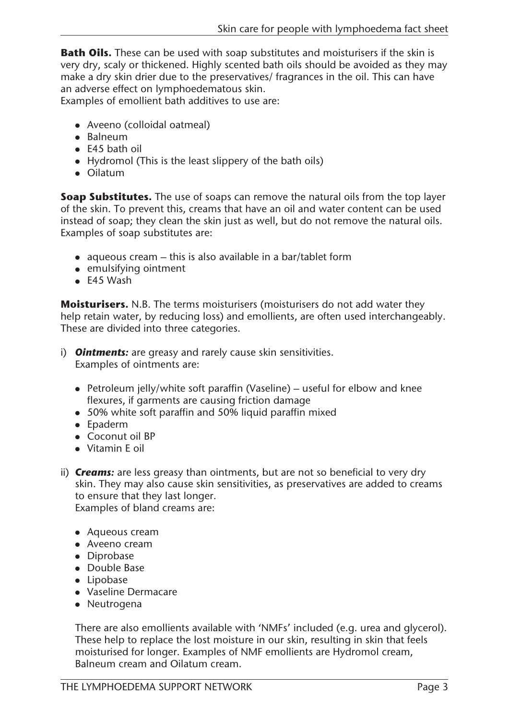**Bath Oils.** These can be used with soap substitutes and moisturisers if the skin is very dry, scaly or thickened. Highly scented bath oils should be avoided as they may make a dry skin drier due to the preservatives/ fragrances in the oil. This can have an adverse effect on lymphoedematous skin.

Examples of emollient bath additives to use are:

- Aveeno (colloidal oatmeal)
- $\bullet$  Balneum
- $\bullet$  E45 bath oil
- $\bullet$  Hydromol (This is the least slippery of the bath oils)
- $\bullet$  Oilatum

**Soap Substitutes.** The use of soaps can remove the natural oils from the top layer of the skin. To prevent this, creams that have an oil and water content can be used instead of soap; they clean the skin just as well, but do not remove the natural oils. Examples of soap substitutes are:

- aqueous cream this is also available in a bar/tablet form
- $\bullet$  emulsifying ointment
- $\bullet$  E45 Wash

**Moisturisers.** N.B. The terms moisturisers (moisturisers do not add water they help retain water, by reducing loss) and emollients, are often used interchangeably. These are divided into three categories.

- i) *Ointments:* are greasy and rarely cause skin sensitivities. Examples of ointments are:
	- Petroleum jelly/white soft paraffin (Vaseline) useful for elbow and knee flexures, if garments are causing friction damage
	- 50% white soft paraffin and 50% liquid paraffin mixed
	- $\bullet$  Epaderm
	- $\bullet$  Coconut oil BP
	- Vitamin E oil
- ii) *Creams:* are less greasy than ointments, but are not so beneficial to very dry skin. They may also cause skin sensitivities, as preservatives are added to creams to ensure that they last longer. Examples of bland creams are:

- $\bullet$  Aqueous cream
- Aveeno cream
- Diprobase
- Double Base
- $\bullet$  Lipobase
- Vaseline Dermacare
- $\bullet$  Neutrogena

There are also emollients available with 'NMFs' included (e.g. urea and glycerol). These help to replace the lost moisture in our skin, resulting in skin that feels moisturised for longer. Examples of NMF emollients are Hydromol cream, Balneum cream and Oilatum cream.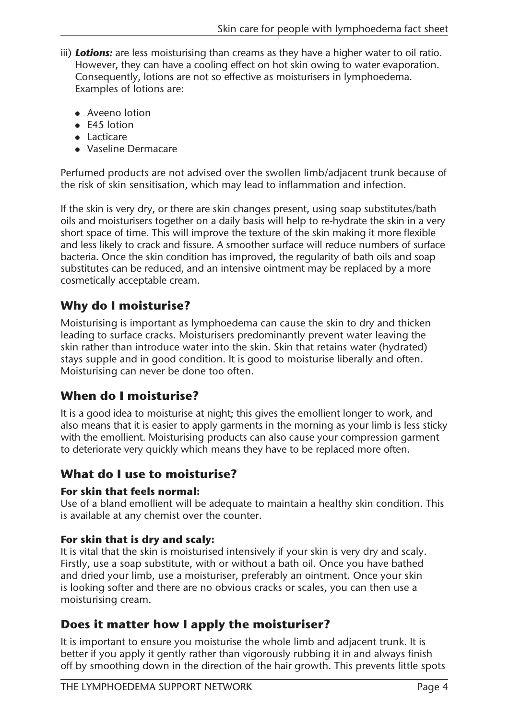- iii) **Lotions:** are less moisturising than creams as they have a higher water to oil ratio. However, they can have a cooling effect on hot skin owing to water evaporation. Consequently, lotions are not so effective as moisturisers in lymphoedema. Examples of lotions are:
	- $\bullet$  Aveeno lotion
	- $\bullet$  E45 lotion
	- $\bullet$  Lacticare
	- Vaseline Dermacare

Perfumed products are not advised over the swollen limb/adjacent trunk because of the risk of skin sensitisation, which may lead to inflammation and infection.

If the skin is very dry, or there are skin changes present, using soap substitutes/bath oils and moisturisers together on a daily basis will help to re-hydrate the skin in a very short space of time. This will improve the texture of the skin making it more flexible and less likely to crack and fissure. A smoother surface will reduce numbers of surface bacteria. Once the skin condition has improved, the regularity of bath oils and soap substitutes can be reduced, and an intensive ointment may be replaced by a more cosmetically acceptable cream.

# **Why do I moisturise?**

Moisturising is important as lymphoedema can cause the skin to dry and thicken leading to surface cracks. Moisturisers predominantly prevent water leaving the skin rather than introduce water into the skin. Skin that retains water (hydrated) stays supple and in good condition. It is good to moisturise liberally and often. Moisturising can never be done too often.

# **When do I moisturise?**

It is a good idea to moisturise at night; this gives the emollient longer to work, and also means that it is easier to apply garments in the morning as your limb is less sticky with the emollient. Moisturising products can also cause your compression garment to deteriorate very quickly which means they have to be replaced more often.

# **What do I use to moisturise?**

#### **For skin that feels normal:**

Use of a bland emollient will be adequate to maintain a healthy skin condition. This is available at any chemist over the counter.

#### **For skin that is dry and scaly:**

It is vital that the skin is moisturised intensively if your skin is very dry and scaly. Firstly, use a soap substitute, with or without a bath oil. Once you have bathed and dried your limb, use a moisturiser, preferably an ointment. Once your skin is looking softer and there are no obvious cracks or scales, you can then use a moisturising cream.

# **Does it matter how I apply the moisturiser?**

It is important to ensure you moisturise the whole limb and adjacent trunk. It is better if you apply it gently rather than vigorously rubbing it in and always finish off by smoothing down in the direction of the hair growth. This prevents little spots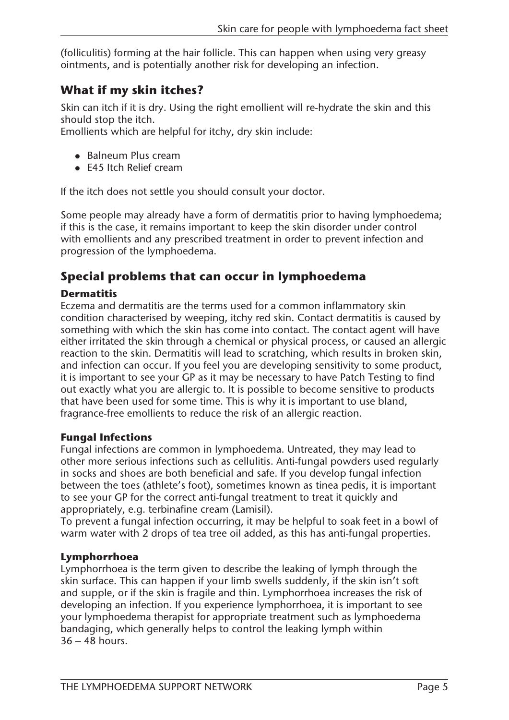(folliculitis) forming at the hair follicle. This can happen when using very greasy ointments, and is potentially another risk for developing an infection.

# **What if my skin itches?**

Skin can itch if it is dry. Using the right emollient will re-hydrate the skin and this should stop the itch.

Emollients which are helpful for itchy, dry skin include:

- Balneum Plus cream
- $\bullet$  E45 Itch Relief cream

If the itch does not settle you should consult your doctor.

Some people may already have a form of dermatitis prior to having lymphoedema; if this is the case, it remains important to keep the skin disorder under control with emollients and any prescribed treatment in order to prevent infection and progression of the lymphoedema.

# **Special problems that can occur in lymphoedema**

#### **Dermatitis**

Eczema and dermatitis are the terms used for a common inflammatory skin condition characterised by weeping, itchy red skin. Contact dermatitis is caused by something with which the skin has come into contact. The contact agent will have either irritated the skin through a chemical or physical process, or caused an allergic reaction to the skin. Dermatitis will lead to scratching, which results in broken skin, and infection can occur. If you feel you are developing sensitivity to some product, it is important to see your GP as it may be necessary to have Patch Testing to find out exactly what you are allergic to. It is possible to become sensitive to products that have been used for some time. This is why it is important to use bland, fragrance-free emollients to reduce the risk of an allergic reaction.

#### **Fungal Infections**

Fungal infections are common in lymphoedema. Untreated, they may lead to other more serious infections such as cellulitis. Anti-fungal powders used regularly in socks and shoes are both beneficial and safe. If you develop fungal infection between the toes (athlete's foot), sometimes known as tinea pedis, it is important to see your GP for the correct anti-fungal treatment to treat it quickly and appropriately, e.g. terbinafine cream (Lamisil).

To prevent a fungal infection occurring, it may be helpful to soak feet in a bowl of warm water with 2 drops of tea tree oil added, as this has anti-fungal properties.

#### **Lymphorrhoea**

Lymphorrhoea is the term given to describe the leaking of lymph through the skin surface. This can happen if your limb swells suddenly, if the skin isn't soft and supple, or if the skin is fragile and thin. Lymphorrhoea increases the risk of developing an infection. If you experience lymphorrhoea, it is important to see your lymphoedema therapist for appropriate treatment such as lymphoedema bandaging, which generally helps to control the leaking lymph within 36 – 48 hours.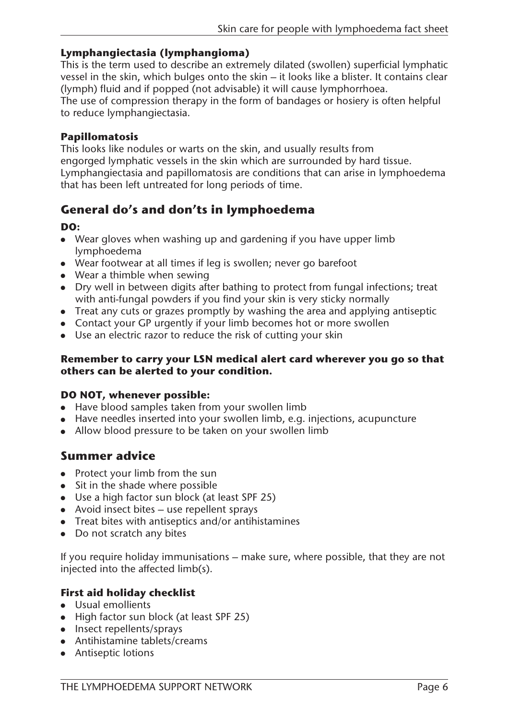#### **Lymphangiectasia (lymphangioma)**

This is the term used to describe an extremely dilated (swollen) superficial lymphatic vessel in the skin, which bulges onto the skin – it looks like a blister. It contains clear (lymph) fluid and if popped (not advisable) it will cause lymphorrhoea.

The use of compression therapy in the form of bandages or hosiery is often helpful to reduce lymphangiectasia.

#### **Papillomatosis**

This looks like nodules or warts on the skin, and usually results from engorged lymphatic vessels in the skin which are surrounded by hard tissue. Lymphangiectasia and papillomatosis are conditions that can arise in lymphoedema that has been left untreated for long periods of time.

# **General do's and don'ts in lymphoedema**

#### **DO:**

- Wear gloves when washing up and gardening if you have upper limb lymphoedema
- Wear footwear at all times if leg is swollen; never go barefoot
- $\bullet$  Wear a thimble when sewing
- Dry well in between digits after bathing to protect from fungal infections; treat with anti-fungal powders if you find your skin is very sticky normally
- $\bullet$  Treat any cuts or grazes promptly by washing the area and applying antiseptic
- Contact your GP urgently if your limb becomes hot or more swollen
- $\bullet$  Use an electric razor to reduce the risk of cutting your skin

#### **Remember to carry your LSN medical alert card wherever you go so that others can be alerted to your condition.**

#### **DO NOT, whenever possible:**

- Have blood samples taken from your swollen limb
- Have needles inserted into your swollen limb, e.g. injections, acupuncture
- Allow blood pressure to be taken on your swollen limb

#### **Summer advice**

- $\bullet$  Protect your limb from the sun
- $\bullet$  Sit in the shade where possible
- $\bullet$  Use a high factor sun block (at least SPF 25)
- Avoid insect bites  $-$  use repellent sprays
- $\bullet$  Treat bites with antiseptics and/or antihistamines
- $\bullet$  Do not scratch any bites

If you require holiday immunisations – make sure, where possible, that they are not injected into the affected limb(s).

#### **First aid holiday checklist**

- Usual emollients
- $\bullet$  High factor sun block (at least SPF 25)
- $\bullet$  Insect repellents/sprays
- $\bullet$  Antihistamine tablets/creams
- Antiseptic lotions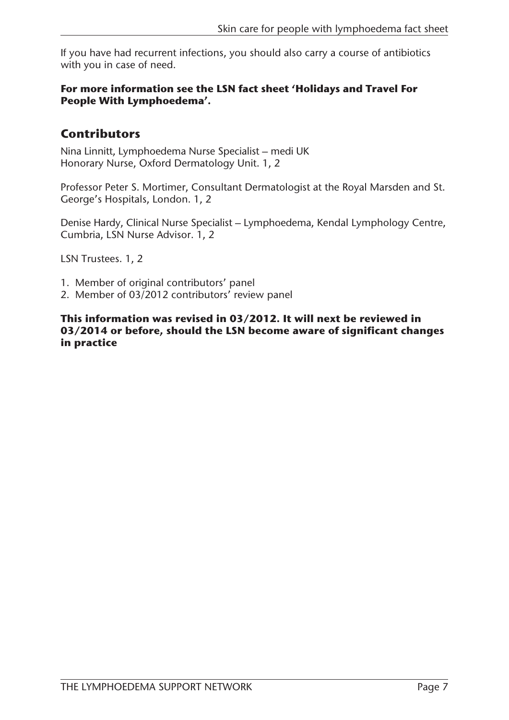If you have had recurrent infections, you should also carry a course of antibiotics with you in case of need.

#### **For more information see the LSN fact sheet 'Holidays and Travel For People With Lymphoedema'.**

# **Contributors**

Nina Linnitt, Lymphoedema Nurse Specialist – medi UK Honorary Nurse, Oxford Dermatology Unit. 1, 2

Professor Peter S. Mortimer, Consultant Dermatologist at the Royal Marsden and St. George's Hospitals, London. 1, 2

Denise Hardy, Clinical Nurse Specialist – Lymphoedema, Kendal Lymphology Centre, Cumbria, LSN Nurse Advisor. 1, 2

LSN Trustees. 1, 2

- 1. Member of original contributors' panel
- 2. Member of 03/2012 contributors' review panel

**This information was revised in 03/2012. It will next be reviewed in 03/2014 or before, should the LSN become aware of significant changes in practice**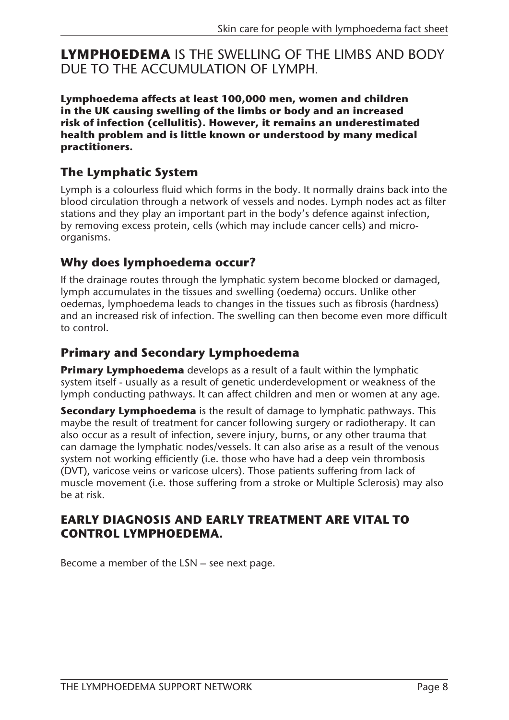**LYMPHOEDEMA** IS THE SWELLING OF THE LIMBS AND BODY DUE TO THE ACCUMULATION OF LYMPH.

**Lymphoedema affects at least 100,000 men, women and children in the UK causing swelling of the limbs or body and an increased risk of infection (cellulitis). However, it remains an underestimated health problem and is little known or understood by many medical practitioners.**

# **The Lymphatic System**

Lymph is a colourless fluid which forms in the body. It normally drains back into the blood circulation through a network of vessels and nodes. Lymph nodes act as filter stations and they play an important part in the body's defence against infection, by removing excess protein, cells (which may include cancer cells) and microorganisms.

# **Why does lymphoedema occur?**

If the drainage routes through the lymphatic system become blocked or damaged, lymph accumulates in the tissues and swelling (oedema) occurs. Unlike other oedemas, lymphoedema leads to changes in the tissues such as fibrosis (hardness) and an increased risk of infection. The swelling can then become even more difficult to control.

# **Primary and Secondary Lymphoedema**

**Primary Lymphoedema** develops as a result of a fault within the lymphatic system itself - usually as a result of genetic underdevelopment or weakness of the lymph conducting pathways. It can affect children and men or women at any age.

**Secondary Lymphoedema** is the result of damage to lymphatic pathways. This maybe the result of treatment for cancer following surgery or radiotherapy. It can also occur as a result of infection, severe injury, burns, or any other trauma that can damage the lymphatic nodes/vessels. It can also arise as a result of the venous system not working efficiently (i.e. those who have had a deep vein thrombosis (DVT), varicose veins or varicose ulcers). Those patients suffering from lack of muscle movement (i.e. those suffering from a stroke or Multiple Sclerosis) may also be at risk.

### **EARLY DIAGNOSIS AND EARLY TREATMENT ARE VITAL TO CONTROL LYMPHOEDEMA.**

Become a member of the LSN – see next page.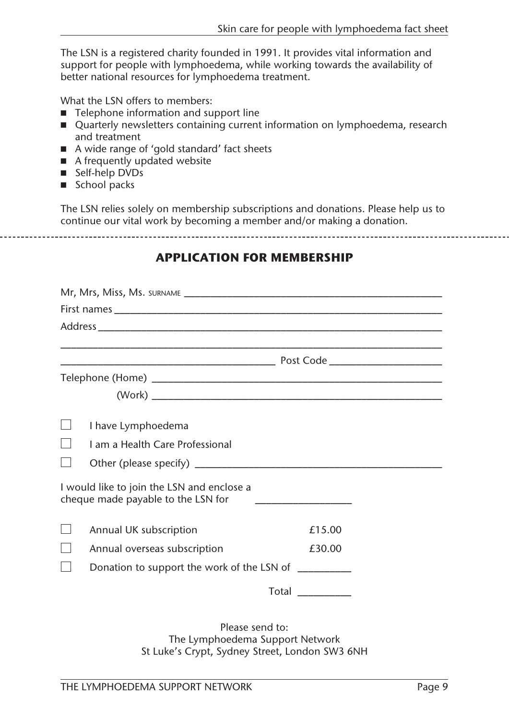The LSN is a registered charity founded in 1991. It provides vital information and support for people with lymphoedema, while working towards the availability of better national resources for lymphoedema treatment.

What the LSN offers to members:

- $\blacksquare$  Telephone information and support line
- Quarterly newsletters containing current information on lymphoedema, research and treatment
- A wide range of 'gold standard' fact sheets
- $\blacksquare$  A frequently updated website
- Self-help DVDs
- $\blacksquare$  School packs

The LSN relies solely on membership subscriptions and donations. Please help us to continue our vital work by becoming a member and/or making a donation.

#### **APPLICATION FOR MEMBERSHIP**

| I have Lymphoedema                                                               |                                                                                                                      |
|----------------------------------------------------------------------------------|----------------------------------------------------------------------------------------------------------------------|
| Lam a Health Care Professional                                                   |                                                                                                                      |
|                                                                                  |                                                                                                                      |
| I would like to join the LSN and enclose a<br>cheque made payable to the LSN for | <u> 1980 - John Stein, mars and de Britain and de Britain and de Britain and de Britain and de Britain and de Br</u> |
| Annual UK subscription                                                           | £15.00                                                                                                               |
| Annual overseas subscription                                                     | £30.00                                                                                                               |
|                                                                                  | Donation to support the work of the LSN of __________                                                                |
|                                                                                  | Total                                                                                                                |
|                                                                                  | Dlosso sond to:                                                                                                      |

Please send to: The Lymphoedema Support Network St Luke's Crypt, Sydney Street, London SW3 6NH